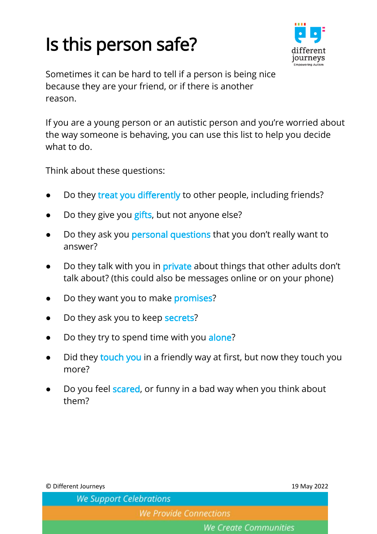## Is this person safe?



Sometimes it can be hard to tell if a person is being nice because they are your friend, or if there is another reason.

If you are a young person or an autistic person and you're worried about the way someone is behaving, you can use this list to help you decide what to do.

Think about these questions:

- Do they treat you differently to other people, including friends?
- Do they give you gifts, but not anyone else?
- Do they ask you personal questions that you don't really want to answer?
- Do they talk with you in private about things that other adults don't talk about? (this could also be messages online or on your phone)
- Do they want you to make promises?
- Do they ask you to keep secrets?
- Do they try to spend time with you alone?
- Did they touch you in a friendly way at first, but now they touch you more?
- Do you feel scared, or funny in a bad way when you think about them?